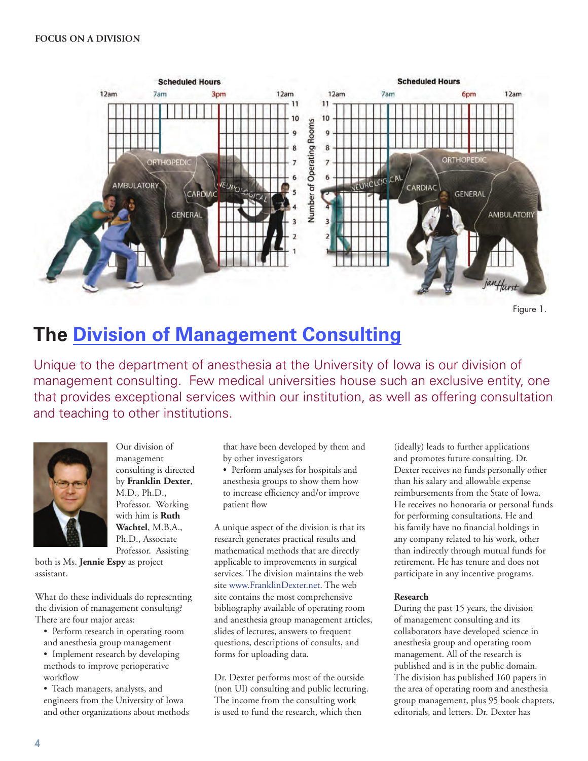

```
Figure 1.
```
# **[The Division of Management Consulting](https://www.franklindexter.net/)**

Unique to the department of anesthesia at the University of Iowa is our division of management consulting. Few medical universities house such an exclusive entity, one that provides exceptional services within our institution, as well as offering consultation and teaching to other institutions.



Our division of management consulting is directed by **Franklin Dexter**, M.D., Ph.D., Professor. Working with him is **Ruth Wachtel**, M.B.A., Ph.D., Associate Professor. Assisting

both is Ms. **Jennie Espy** as project assistant.

What do these individuals do representing the division of management consulting? There are four major areas:

• Perform research in operating room and anesthesia group management

• Implement research by developing methods to improve perioperative workflow

• Teach managers, analysts, and engineers from the University of Iowa and other organizations about methods

that have been developed by them and by other investigators

• Perform analyses for hospitals and anesthesia groups to show them how to increase efficiency and/or improve patient flow

A unique aspect of the division is that its research generates practical results and mathematical methods that are directly applicable to improvements in surgical services. The division maintains the web site www.FranklinDexter.net. The web site contains the most comprehensive bibliography available of operating room and anesthesia group management articles, slides of lectures, answers to frequent questions, descriptions of consults, and forms for uploading data.

Dr. Dexter performs most of the outside (non UI) consulting and public lecturing. The income from the consulting work is used to fund the research, which then

(ideally) leads to further applications and promotes future consulting. Dr. Dexter receives no funds personally other than his salary and allowable expense reimbursements from the State of Iowa. He receives no honoraria or personal funds for performing consultations. He and his family have no financial holdings in any company related to his work, other than indirectly through mutual funds for retirement. He has tenure and does not participate in any incentive programs.

## **Research**

During the past 15 years, the division of management consulting and its collaborators have developed science in anesthesia group and operating room management. All of the research is published and is in the public domain. The division has published 160 papers in the area of operating room and anesthesia group management, plus 95 book chapters, editorials, and letters. Dr. Dexter has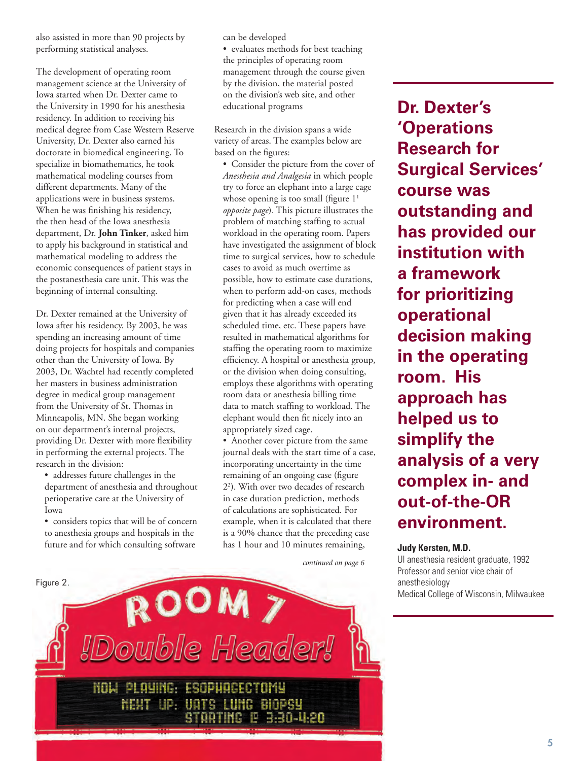also assisted in more than 90 projects by performing statistical analyses.

The development of operating room management science at the University of Iowa started when Dr. Dexter came to the University in 1990 for his anesthesia residency. In addition to receiving his medical degree from Case Western Reserve University, Dr. Dexter also earned his doctorate in biomedical engineering. To specialize in biomathematics, he took mathematical modeling courses from different departments. Many of the applications were in business systems. When he was finishing his residency, the then head of the Iowa anesthesia department, Dr. **John Tinker**, asked him to apply his background in statistical and mathematical modeling to address the economic consequences of patient stays in the postanesthesia care unit. This was the beginning of internal consulting.

Dr. Dexter remained at the University of Iowa after his residency. By 2003, he was spending an increasing amount of time doing projects for hospitals and companies other than the University of Iowa. By 2003, Dr. Wachtel had recently completed her masters in business administration degree in medical group management from the University of St. Thomas in Minneapolis, MN. She began working on our department's internal projects, providing Dr. Dexter with more flexibility in performing the external projects. The research in the division:

• addresses future challenges in the department of anesthesia and throughout perioperative care at the University of Iowa

• considers topics that will be of concern to anesthesia groups and hospitals in the future and for which consulting software

can be developed

• evaluates methods for best teaching the principles of operating room management through the course given by the division, the material posted on the division's web site, and other educational programs

Research in the division spans a wide variety of areas. The examples below are based on the figures:

• Consider the picture from the cover of *Anesthesia and Analgesia* in which people try to force an elephant into a large cage whose opening is too small (figure  $1<sup>1</sup>$ *opposite page*). This picture illustrates the problem of matching staffing to actual workload in the operating room. Papers have investigated the assignment of block time to surgical services, how to schedule cases to avoid as much overtime as possible, how to estimate case durations, when to perform add-on cases, methods for predicting when a case will end given that it has already exceeded its scheduled time, etc. These papers have resulted in mathematical algorithms for staffing the operating room to maximize efficiency. A hospital or anesthesia group, or the division when doing consulting, employs these algorithms with operating room data or anesthesia billing time data to match staffing to workload. The elephant would then fit nicely into an appropriately sized cage.

• Another cover picture from the same journal deals with the start time of a case, incorporating uncertainty in the time remaining of an ongoing case (figure 22 ). With over two decades of research in case duration prediction, methods of calculations are sophisticated. For example, when it is calculated that there is a 90% chance that the preceding case has 1 hour and 10 minutes remaining,

*continued on page 6* 



**Dr. Dexter's 'Operations Research for Surgical Services' course was outstanding and has provided our institution with a framework for prioritizing operational decision making in the operating room. His approach has helped us to simplify the analysis of a very complex in- and out-of-the-OR environment.**

#### **Judy Kersten, M.D.**

UI anesthesia resident graduate, 1992 Professor and senior vice chair of anesthesiology Medical College of Wisconsin, Milwaukee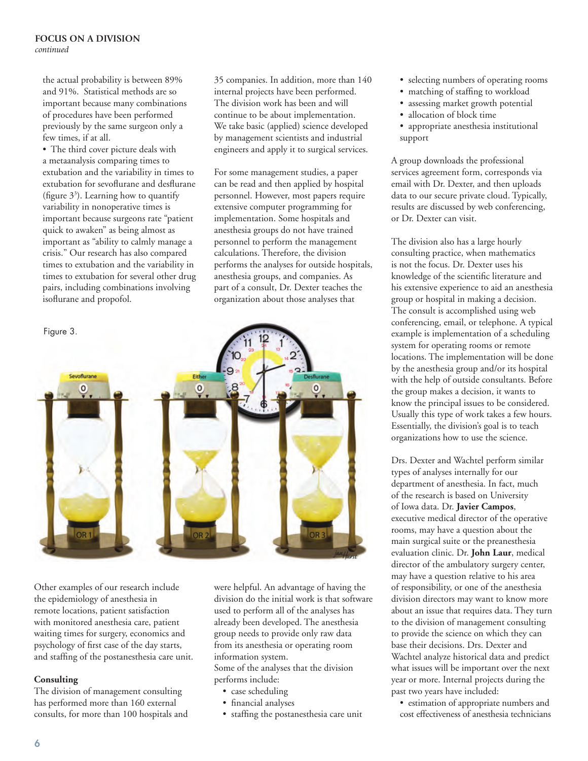## **FOCUS ON A DIVISION** *continued*

the actual probability is between 89% and 91%. Statistical methods are so important because many combinations of procedures have been performed previously by the same surgeon only a few times, if at all.

• The third cover picture deals with a metaanalysis comparing times to extubation and the variability in times to extubation for sevoflurane and desflurane (figure  $3<sup>3</sup>$ ). Learning how to quantify variability in nonoperative times is important because surgeons rate "patient quick to awaken" as being almost as important as "ability to calmly manage a crisis." Our research has also compared times to extubation and the variability in times to extubation for several other drug pairs, including combinations involving isoflurane and propofol.

35 companies. In addition, more than 140 internal projects have been performed. The division work has been and will continue to be about implementation. We take basic (applied) science developed by management scientists and industrial engineers and apply it to surgical services.

For some management studies, a paper can be read and then applied by hospital personnel. However, most papers require extensive computer programming for implementation. Some hospitals and anesthesia groups do not have trained personnel to perform the management calculations. Therefore, the division performs the analyses for outside hospitals, anesthesia groups, and companies. As part of a consult, Dr. Dexter teaches the organization about those analyses that



Other examples of our research include the epidemiology of anesthesia in remote locations, patient satisfaction with monitored anesthesia care, patient waiting times for surgery, economics and psychology of first case of the day starts, and staffing of the postanesthesia care unit.

## **Consulting**

The division of management consulting has performed more than 160 external consults, for more than 100 hospitals and were helpful. An advantage of having the division do the initial work is that software used to perform all of the analyses has already been developed. The anesthesia group needs to provide only raw data from its anesthesia or operating room information system.

Some of the analyses that the division performs include:

- case scheduling
- financial analyses
- staffing the postanesthesia care unit
- selecting numbers of operating rooms
- matching of staffing to workload
- assessing market growth potential
- allocation of block time
- appropriate anesthesia institutional support

A group downloads the professional services agreement form, corresponds via email with Dr. Dexter, and then uploads data to our secure private cloud. Typically, results are discussed by web conferencing, or Dr. Dexter can visit.

The division also has a large hourly consulting practice, when mathematics is not the focus. Dr. Dexter uses his knowledge of the scientific literature and his extensive experience to aid an anesthesia group or hospital in making a decision. The consult is accomplished using web conferencing, email, or telephone. A typical example is implementation of a scheduling system for operating rooms or remote locations. The implementation will be done by the anesthesia group and/or its hospital with the help of outside consultants. Before the group makes a decision, it wants to know the principal issues to be considered. Usually this type of work takes a few hours. Essentially, the division's goal is to teach organizations how to use the science.

Drs. Dexter and Wachtel perform similar types of analyses internally for our department of anesthesia. In fact, much of the research is based on University of Iowa data. Dr. **Javier Campos**, executive medical director of the operative rooms, may have a question about the main surgical suite or the preanesthesia evaluation clinic. Dr. **John Laur**, medical director of the ambulatory surgery center, may have a question relative to his area of responsibility, or one of the anesthesia division directors may want to know more about an issue that requires data. They turn to the division of management consulting to provide the science on which they can base their decisions. Drs. Dexter and Wachtel analyze historical data and predict what issues will be important over the next year or more. Internal projects during the past two years have included:

• estimation of appropriate numbers and cost effectiveness of anesthesia technicians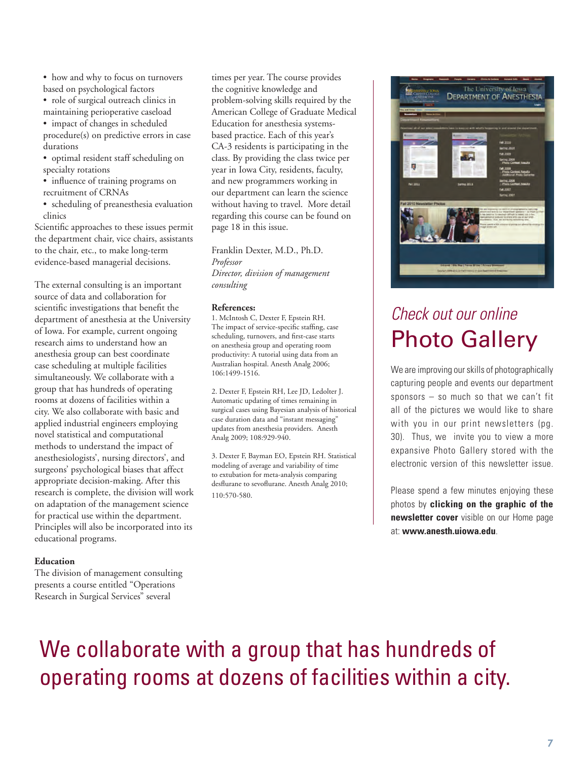- how and why to focus on turnovers based on psychological factors
- role of surgical outreach clinics in maintaining perioperative caseload
- impact of changes in scheduled procedure(s) on predictive errors in case durations
- optimal resident staff scheduling on specialty rotations
- influence of training programs on recruitment of CRNAs
- scheduling of preanesthesia evaluation clinics

Scientific approaches to these issues permit the department chair, vice chairs, assistants to the chair, etc., to make long-term evidence-based managerial decisions.

The external consulting is an important source of data and collaboration for scientific investigations that benefit the department of anesthesia at the University of Iowa. For example, current ongoing research aims to understand how an anesthesia group can best coordinate case scheduling at multiple facilities simultaneously. We collaborate with a group that has hundreds of operating rooms at dozens of facilities within a city. We also collaborate with basic and applied industrial engineers employing novel statistical and computational methods to understand the impact of anesthesiologists', nursing directors', and surgeons' psychological biases that affect appropriate decision-making. After this research is complete, the division will work on adaptation of the management science for practical use within the department. Principles will also be incorporated into its educational programs.

#### **Education**

The division of management consulting presents a course entitled "Operations Research in Surgical Services" several

times per year. The course provides the cognitive knowledge and problem-solving skills required by the American College of Graduate Medical Education for anesthesia systemsbased practice. Each of this year's CA-3 residents is participating in the class. By providing the class twice per year in Iowa City, residents, faculty, and new programmers working in our department can learn the science without having to travel. More detail regarding this course can be found on page 18 in this issue.

Franklin Dexter, M.D., Ph.D. *Professor Director, division of management consulting*

#### **References:**

1. McIntosh C, Dexter F, Epstein RH. The impact of service-specific staffing, case scheduling, turnovers, and first-case starts on anesthesia group and operating room productivity: A tutorial using data from an Australian hospital. Anesth Analg 2006; 106:1499-1516.

2. Dexter F, Epstein RH, Lee JD, Ledolter J. Automatic updating of times remaining in surgical cases using Bayesian analysis of historical case duration data and "instant messaging" updates from anesthesia providers. Anesth Analg 2009; 108:929-940.

3. Dexter F, Bayman EO, Epstein RH. Statistical modeling of average and variability of time to extubation for meta-analysis comparing desflurane to sevoflurane. Anesth Analg 2010; 110:570-580.